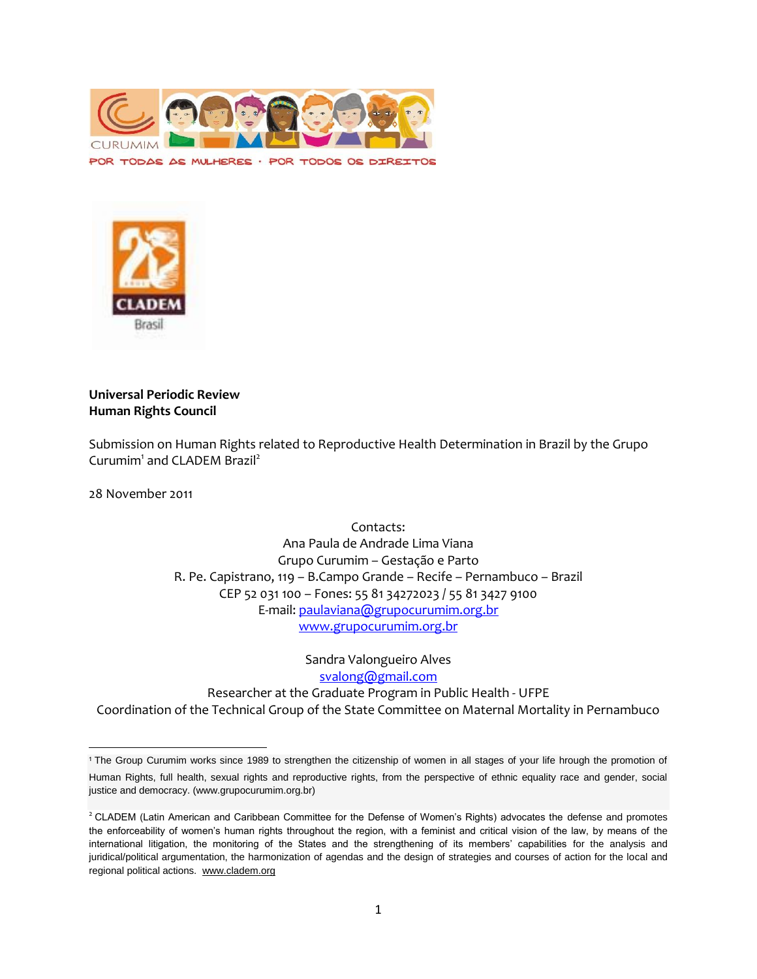

POR TODAS AS MULHERES · POR TODOS OS DIREITOS



### **Universal Periodic Review Human Rights Council**

Submission on Human Rights related to Reproductive Health Determination in Brazil by the Grupo Curumim<sup>1</sup> and CLADEM Brazil<sup>2</sup>

28 November 2011

 $\overline{\phantom{a}}$ 

Contacts: Ana Paula de Andrade Lima Viana Grupo Curumim – Gestação e Parto R. Pe. Capistrano, 119 – B.Campo Grande – Recife – Pernambuco – Brazil CEP 52 031 100 – Fones: 55 81 34272023 / 55 81 3427 9100 E-mail: [paulaviana@grupocurumim.org.br](mailto:paulaviana@grupocurumim.org.br) [www.grupocurumim.org.br](http://www.grupocurumim.org.br/)

Sandra Valongueiro Alves [svalong@gmail.com](mailto:svalong@gmail.com) Researcher at the Graduate Program in Public Health - UFPE Coordination of the Technical Group of the State Committee on Maternal Mortality in Pernambuco

<sup>1</sup> The Group Curumim works since 1989 to strengthen the citizenship of women in all stages of your life hrough the promotion of Human Rights, full health, sexual rights and reproductive rights, from the perspective of ethnic equality race and gender, social justice and democracy. (www.grupocurumim.org.br)

<sup>&</sup>lt;sup>2</sup> CLADEM (Latin American and Caribbean Committee for the Defense of Women's Rights) advocates the defense and promotes the enforceability of women's human rights throughout the region, with a feminist and critical vision of the law, by means of the international litigation, the monitoring of the States and the strengthening of its members' capabilities for the analysis and juridical/political argumentation, the harmonization of agendas and the design of strategies and courses of action for the local and regional political actions. [www.cladem.org](http://www.cladem.org/)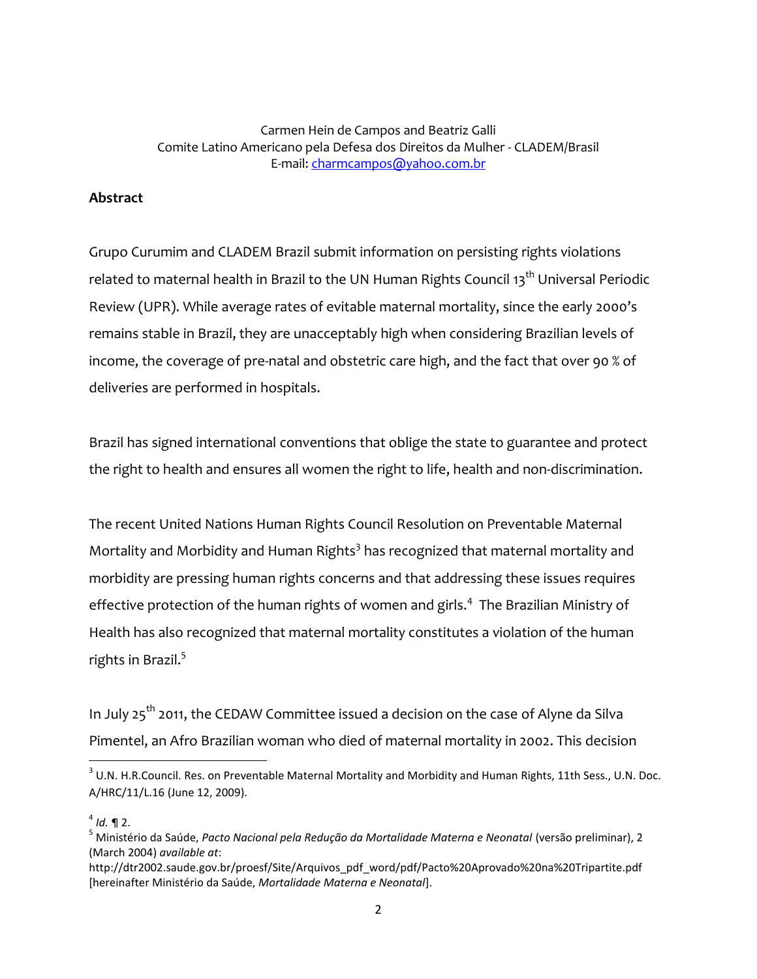Carmen Hein de Campos and Beatriz Galli Comite Latino Americano pela Defesa dos Direitos da Mulher - CLADEM/Brasil E-mail: [charmcampos@yahoo.com.br](mailto:charmcampos@yahoo.com.br)

## **Abstract**

Grupo Curumim and CLADEM Brazil submit information on persisting rights violations related to maternal health in Brazil to the UN Human Rights Council 13<sup>th</sup> Universal Periodic Review (UPR). While average rates of evitable maternal mortality, since the early 2000's remains stable in Brazil, they are unacceptably high when considering Brazilian levels of income, the coverage of pre-natal and obstetric care high, and the fact that over 90 % of deliveries are performed in hospitals.

Brazil has signed international conventions that oblige the state to guarantee and protect the right to health and ensures all women the right to life, health and non-discrimination.

The recent United Nations Human Rights Council Resolution on Preventable Maternal Mortality and Morbidity and Human Rights<sup>3</sup> has recognized that maternal mortality and morbidity are pressing human rights concerns and that addressing these issues requires effective protection of the human rights of women and girls.<sup>4</sup> The Brazilian Ministry of Health has also recognized that maternal mortality constitutes a violation of the human rights in Brazil. $^5$ 

In July  $25^{th}$  2011, the CEDAW Committee issued a decision on the case of Alyne da Silva Pimentel, an Afro Brazilian woman who died of maternal mortality in 2002. This decision

#### 4 *Id.* ¶ 2.

 $\overline{\phantom{a}}$ 

http://dtr2002.saude.gov.br/proesf/Site/Arquivos\_pdf\_word/pdf/Pacto%20Aprovado%20na%20Tripartite.pdf [hereinafter Ministério da Saúde, *Mortalidade Materna e Neonatal*].

 $^3$  U.N. H.R.Council. Res. on Preventable Maternal Mortality and Morbidity and Human Rights, 11th Sess., U.N. Doc. A/HRC/11/L.16 (June 12, 2009).

<sup>5</sup> Ministério da Saúde, *Pacto Nacional pela Redução da Mortalidade Materna e Neonatal* (versão preliminar), 2 (March 2004) *available at*: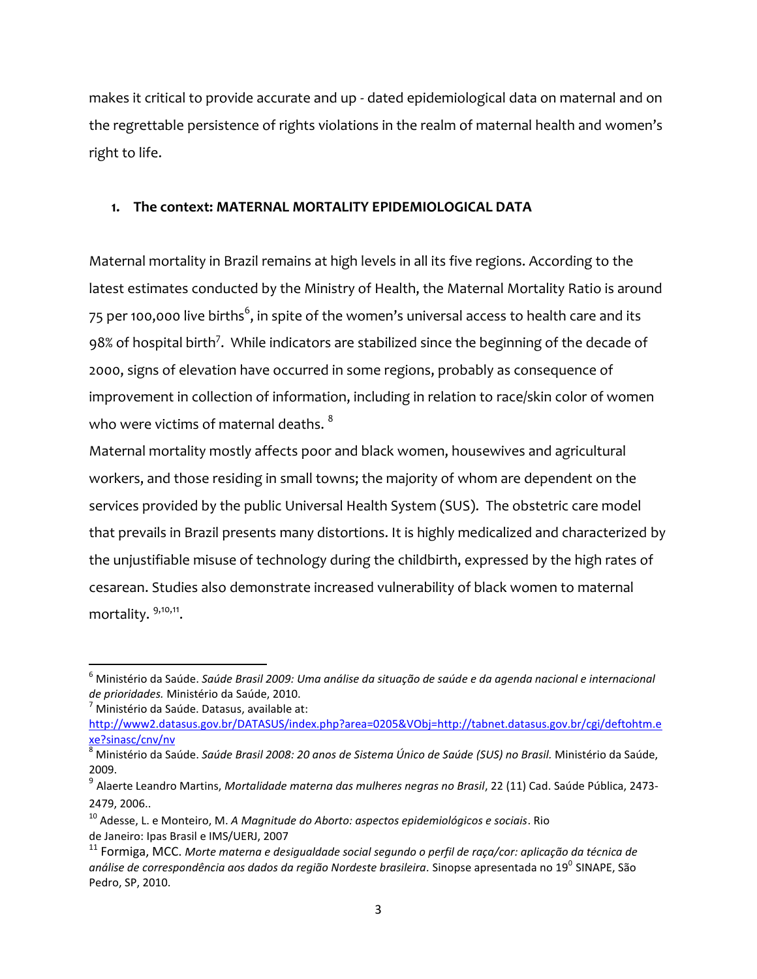makes it critical to provide accurate and up - dated epidemiological data on maternal and on the regrettable persistence of rights violations in the realm of maternal health and women's right to life.

# **1. The context: MATERNAL MORTALITY EPIDEMIOLOGICAL DATA**

Maternal mortality in Brazil remains at high levels in all its five regions. According to the latest estimates conducted by the Ministry of Health, the Maternal Mortality Ratio is around 75 per 100,000 live births $^6$ , in spite of the women's universal access to health care and its  $98\%$  of hospital birth<sup>7</sup>. While indicators are stabilized since the beginning of the decade of 2000, signs of elevation have occurred in some regions, probably as consequence of improvement in collection of information, including in relation to race/skin color of women who were victims of maternal deaths.  $^8$ 

Maternal mortality mostly affects poor and black women, housewives and agricultural workers, and those residing in small towns; the majority of whom are dependent on the services provided by the public Universal Health System (SUS). The obstetric care model that prevails in Brazil presents many distortions. It is highly medicalized and characterized by the unjustifiable misuse of technology during the childbirth, expressed by the high rates of cesarean. Studies also demonstrate increased vulnerability of black women to maternal mortality. <sup>9,10,11</sup>.

l

<sup>6</sup> Ministério da Saúde. *Saúde Brasil 2009: Uma análise da situação de saúde e da agenda nacional e internacional de prioridades.* Ministério da Saúde, 2010.

 $<sup>7</sup>$  Ministério da Saúde. Datasus, available at:</sup>

[http://www2.datasus.gov.br/DATASUS/index.php?area=0205&VObj=http://tabnet.datasus.gov.br/cgi/deftohtm.e](http://www2.datasus.gov.br/DATASUS/index.php?area=0205&VObj=http://tabnet.datasus.gov.br/cgi/deftohtm.exe?sinasc/cnv/nv) [xe?sinasc/cnv/nv](http://www2.datasus.gov.br/DATASUS/index.php?area=0205&VObj=http://tabnet.datasus.gov.br/cgi/deftohtm.exe?sinasc/cnv/nv)

<sup>8</sup> Ministério da Saúde. *Saúde Brasil 2008: 20 anos de Sistema Único de Saúde (SUS) no Brasil.* Ministério da Saúde, 2009.

<sup>&</sup>lt;sup>9</sup> Alaerte Leandro Martins, *Mortalidade materna das mulheres negras no Brasil*, 22 (11) Cad. Saúde Pública, 2473-2479, 2006..

<sup>10</sup> Adesse, L. e Monteiro, M. *A Magnitude do Aborto: aspectos epidemiológicos e sociais*. Rio de Janeiro: Ipas Brasil e IMS/UERJ, 2007

<sup>11</sup> Formiga, MCC. *Morte materna e desigualdade social segundo o perfil de raça/cor: aplicação da técnica de análise de correspondência aos dados da região Nordeste brasileira.* Sinopse apresentada no 19<sup>0</sup> SINAPE, São Pedro, SP, 2010.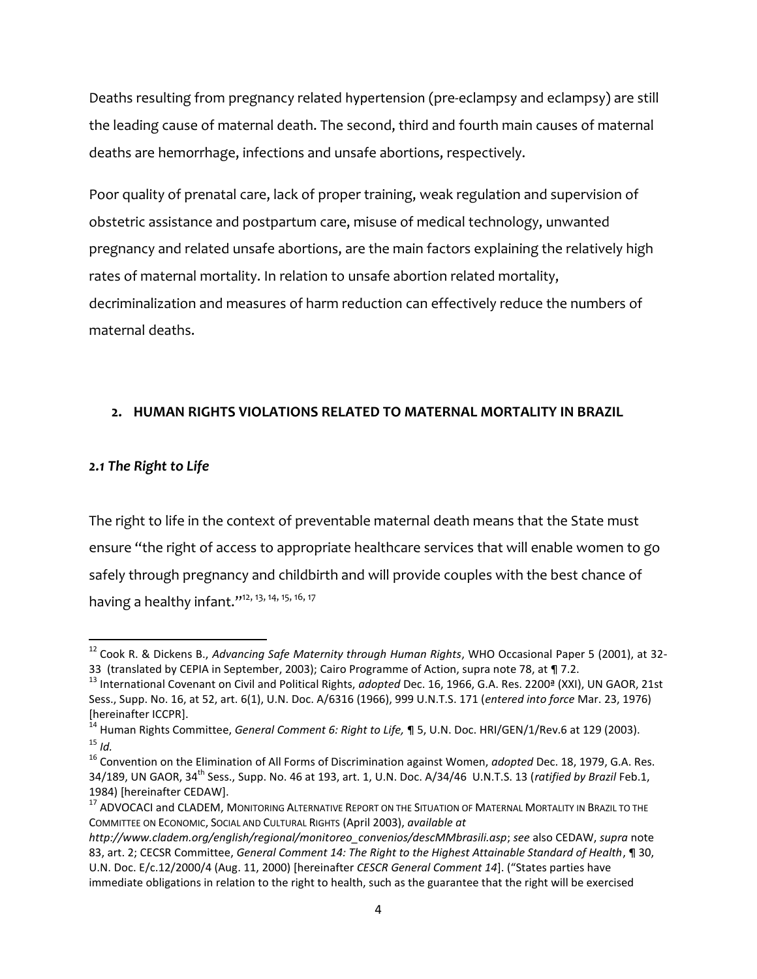Deaths resulting from pregnancy related hypertension (pre-eclampsy and eclampsy) are still the leading cause of maternal death. The second, third and fourth main causes of maternal deaths are hemorrhage, infections and unsafe abortions, respectively.

Poor quality of prenatal care, lack of proper training, weak regulation and supervision of obstetric assistance and postpartum care, misuse of medical technology, unwanted pregnancy and related unsafe abortions, are the main factors explaining the relatively high rates of maternal mortality. In relation to unsafe abortion related mortality, decriminalization and measures of harm reduction can effectively reduce the numbers of maternal deaths.

### **2. HUMAN RIGHTS VIOLATIONS RELATED TO MATERNAL MORTALITY IN BRAZIL**

### *2.1 The Right to Life*

 $\overline{\phantom{a}}$ 

The right to life in the context of preventable maternal death means that the State must ensure "the right of access to appropriate healthcare services that will enable women to go safely through pregnancy and childbirth and will provide couples with the best chance of having a healthy infant."<sup>12, 13, 14, 15, 16, 17</sup>

<sup>12</sup> Cook R. & Dickens B., *Advancing Safe Maternity through Human Rights*, WHO Occasional Paper 5 (2001), at 32- 33 (translated by CEPIA in September, 2003); Cairo Programme of Action, supra note 78, at ¶ 7.2.

<sup>13</sup> International Covenant on Civil and Political Rights, *adopted* Dec. 16, 1966, G.A. Res. 2200ª (XXI), UN GAOR, 21st Sess., Supp. No. 16, at 52, art. 6(1), U.N. Doc. A/6316 (1966), 999 U.N.T.S. 171 (*entered into force* Mar. 23, 1976) [hereinafter ICCPR].

<sup>14</sup> Human Rights Committee, *General Comment 6: Right to Life,* ¶ 5, U.N. Doc. HRI/GEN/1/Rev.6 at 129 (2003).  $15$  *Id.* 

<sup>16</sup> Convention on the Elimination of All Forms of Discrimination against Women, *adopted* Dec. 18, 1979, G.A. Res. 34/189, UN GAOR, 34th Sess., Supp. No. 46 at 193, art. 1, U.N. Doc. A/34/46 U.N.T.S. 13 (*ratified by Brazil* Feb.1, 1984) [hereinafter CEDAW].

<sup>&</sup>lt;sup>17</sup> ADVOCACI and CLADEM, MONITORING ALTERNATIVE REPORT ON THE SITUATION OF MATERNAL MORTALITY IN BRAZIL TO THE COMMITTEE ON ECONOMIC, SOCIAL AND CULTURAL RIGHTS (April 2003), *available at* 

*http://www.cladem.org/english/regional/monitoreo\_convenios/descMMbrasili.asp*; *see* also CEDAW, *supra* note 83, art. 2; CECSR Committee, *General Comment 14: The Right to the Highest Attainable Standard of Health*, ¶ 30, U.N. Doc. E/c.12/2000/4 (Aug. 11, 2000) [hereinafter *CESCR General Comment 14*]. ("States parties have immediate obligations in relation to the right to health, such as the guarantee that the right will be exercised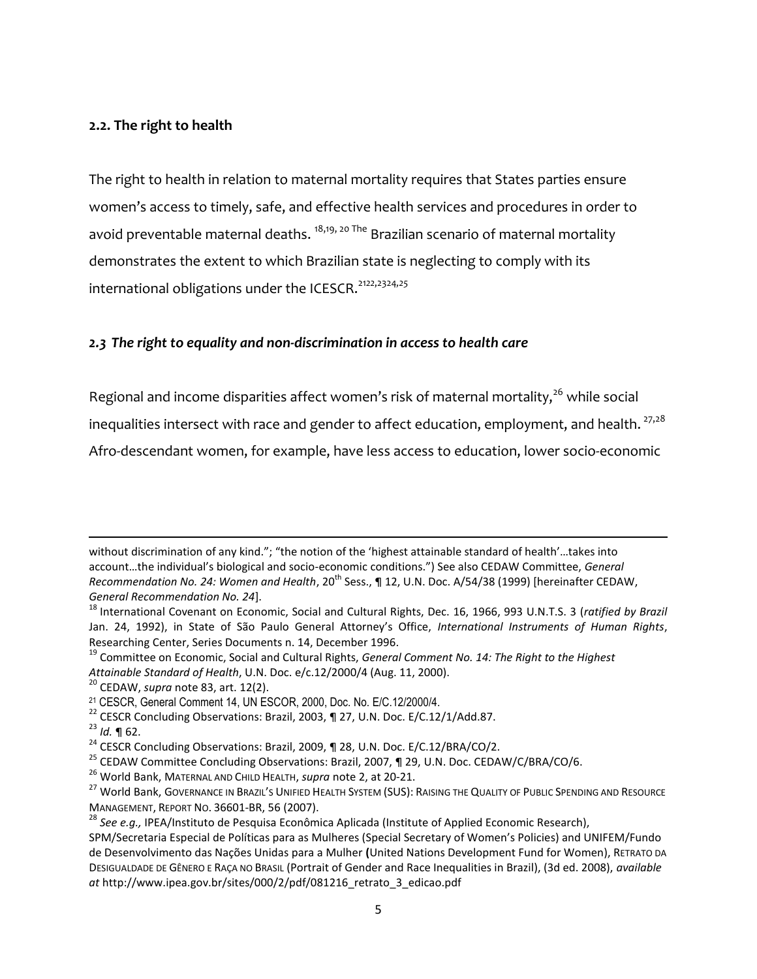### **2.2. The right to health**

The right to health in relation to maternal mortality requires that States parties ensure women's access to timely, safe, and effective health services and procedures in order to avoid preventable maternal deaths.  $18,19,20$  The Brazilian scenario of maternal mortality demonstrates the extent to which Brazilian state is neglecting to comply with its international obligations under the ICESCR.<sup>21</sup>*22*,2324*,25*

### *2.3 The right to equality and non-discrimination in access to health care*

Regional and income disparities affect women's risk of maternal mortality, $^{26}$  while social inequalities intersect with race and gender to affect education, employment, and health.  $27,28$ Afro-descendant women, for example, have less access to education, lower socio-economic

 $\overline{\phantom{a}}$ 

without discrimination of any kind."; "the notion of the 'highest attainable standard of health'...takes into account…the individual's biological and socio-economic conditions.") See also CEDAW Committee, *General Recommendation No. 24: Women and Health*, 20<sup>th</sup> Sess., ¶ 12, U.N. Doc. A/54/38 (1999) [hereinafter CEDAW, *General Recommendation No. 24*].

<sup>18</sup> International Covenant on Economic, Social and Cultural Rights, Dec. 16, 1966, 993 U.N.T.S. 3 (*ratified by Brazil* Jan. 24, 1992), in State of São Paulo General Attorney's Office, *International Instruments of Human Rights*, Researching Center, Series Documents n. 14, December 1996.

<sup>19</sup> Committee on Economic, Social and Cultural Rights, *General Comment No. 14: The Right to the Highest Attainable Standard of Health*, U.N. Doc. e/c.12/2000/4 (Aug. 11, 2000).

<sup>20</sup> CEDAW, *supra* note 83, art. 12(2).

<sup>21</sup> CESCR, General Comment 14, UN ESCOR, 2000, Doc. No. E/C.12/2000/4.

<sup>&</sup>lt;sup>22</sup> CESCR Concluding Observations: Brazil, 2003, ¶ 27, U.N. Doc. E/C.12/1/Add.87.

<sup>23</sup> *Id.* ¶ 62.

<sup>&</sup>lt;sup>24</sup> CESCR Concluding Observations: Brazil, 2009, ¶ 28, U.N. Doc. E/C.12/BRA/CO/2.

<sup>&</sup>lt;sup>25</sup> CEDAW Committee Concluding Observations: Brazil, 2007, ¶ 29, U.N. Doc. CEDAW/C/BRA/CO/6.

<sup>26</sup> World Bank, MATERNAL AND CHILD HEALTH, *supra* note 2, at 20-21.

<sup>&</sup>lt;sup>27</sup> World Bank, GOVERNANCE IN BRAZIL'S UNIFIED HEALTH SYSTEM (SUS): RAISING THE QUALITY OF PUBLIC SPENDING AND RESOURCE MANAGEMENT, REPORT NO. 36601-BR, 56 (2007).

<sup>28</sup> *See e.g.,* IPEA/Instituto de Pesquisa Econômica Aplicada (Institute of Applied Economic Research),

SPM/Secretaria Especial de Políticas para as Mulheres (Special Secretary of Women's Policies) and UNIFEM/Fundo de Desenvolvimento das Nações Unidas para a Mulher **(**United Nations Development Fund for Women), RETRATO DA DESIGUALDADE DE GÊNERO E RAÇA NO BRASIL (Portrait of Gender and Race Inequalities in Brazil), (3d ed. 2008), *available at* http://www.ipea.gov.br/sites/000/2/pdf/081216\_retrato\_3\_edicao.pdf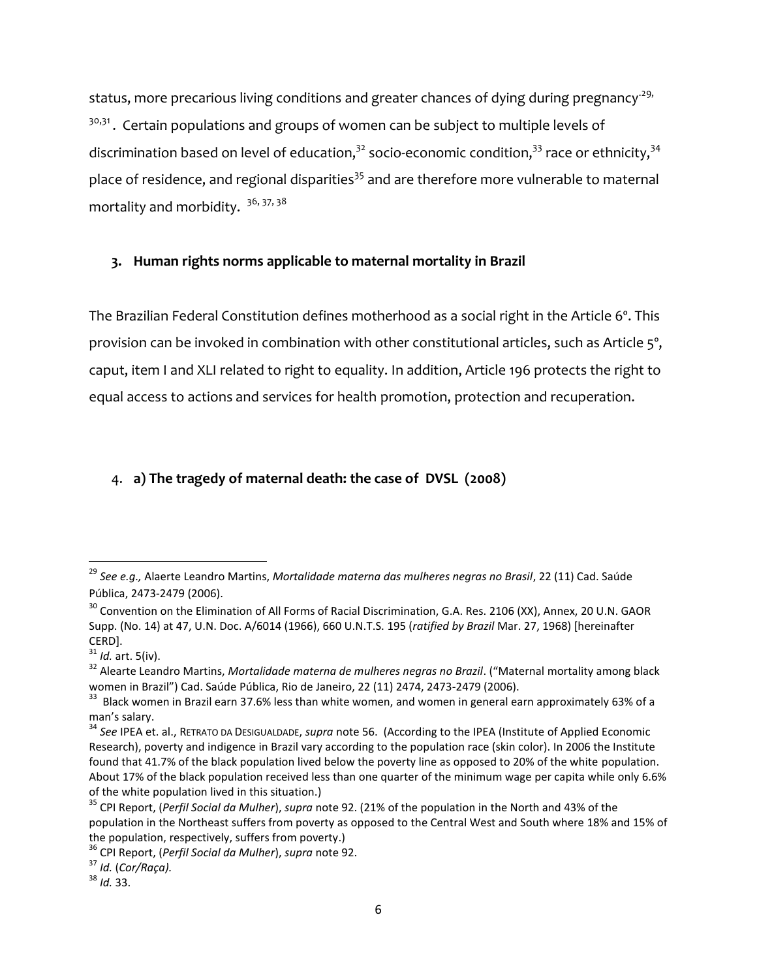status, more precarious living conditions and greater chances of dying during pregnancy<sup>-29,</sup> <sup>30,31</sup>. Certain populations and groups of women can be subject to multiple levels of discrimination based on level of education,<sup>32</sup> socio-economic condition,<sup>33</sup> race or ethnicity,<sup>34</sup> place of residence, and regional disparities<sup>35</sup> and are therefore more vulnerable to maternal mortality and morbidity.  $36, 37, 38$ 

# **3. Human rights norms applicable to maternal mortality in Brazil**

The Brazilian Federal Constitution defines motherhood as a social right in the Article 6º. This provision can be invoked in combination with other constitutional articles, such as Article 5°, caput, item I and XLI related to right to equality. In addition, Article 196 protects the right to equal access to actions and services for health promotion, protection and recuperation.

# 4. **a) The tragedy of maternal death: the case of DVSL (2008)**

 $\overline{\phantom{a}}$ 

<sup>&</sup>lt;sup>29</sup> See e.g., Alaerte Leandro Martins, *Mortalidade materna das mulheres negras no Brasil*, 22 (11) Cad. Saúde Pública, 2473-2479 (2006).

<sup>&</sup>lt;sup>30</sup> Convention on the Elimination of All Forms of Racial Discrimination, G.A. Res. 2106 (XX), Annex, 20 U.N. GAOR Supp. (No. 14) at 47, U.N. Doc. A/6014 (1966), 660 U.N.T.S. 195 (*ratified by Brazil* Mar. 27, 1968) [hereinafter CERD].

 $31$  *Id.* art. 5(iv).

<sup>&</sup>lt;sup>32</sup> Alearte Leandro Martins, Mortalidade materna de mulheres negras no Brazil. ("Maternal mortality among black women in Brazil") Cad. Saúde Pública, Rio de Janeiro, 22 (11) 2474, 2473-2479 (2006).

<sup>&</sup>lt;sup>33</sup> Black women in Brazil earn 37.6% less than white women, and women in general earn approximately 63% of a man's salary.

<sup>34</sup> *See* IPEA et. al., RETRATO DA DESIGUALDADE, *supra* note 56. (According to the IPEA (Institute of Applied Economic Research), poverty and indigence in Brazil vary according to the population race (skin color). In 2006 the Institute found that 41.7% of the black population lived below the poverty line as opposed to 20% of the white population. About 17% of the black population received less than one quarter of the minimum wage per capita while only 6.6% of the white population lived in this situation.)

<sup>35</sup> CPI Report, (*Perfil Social da Mulher*), *supra* note 92. (21% of the population in the North and 43% of the population in the Northeast suffers from poverty as opposed to the Central West and South where 18% and 15% of the population, respectively, suffers from poverty.)

<sup>36</sup> CPI Report, (*Perfil Social da Mulher*), *supra* note 92.

<sup>37</sup> *Id.* (*Cor/Raça).*

<sup>38</sup> *Id.* 33.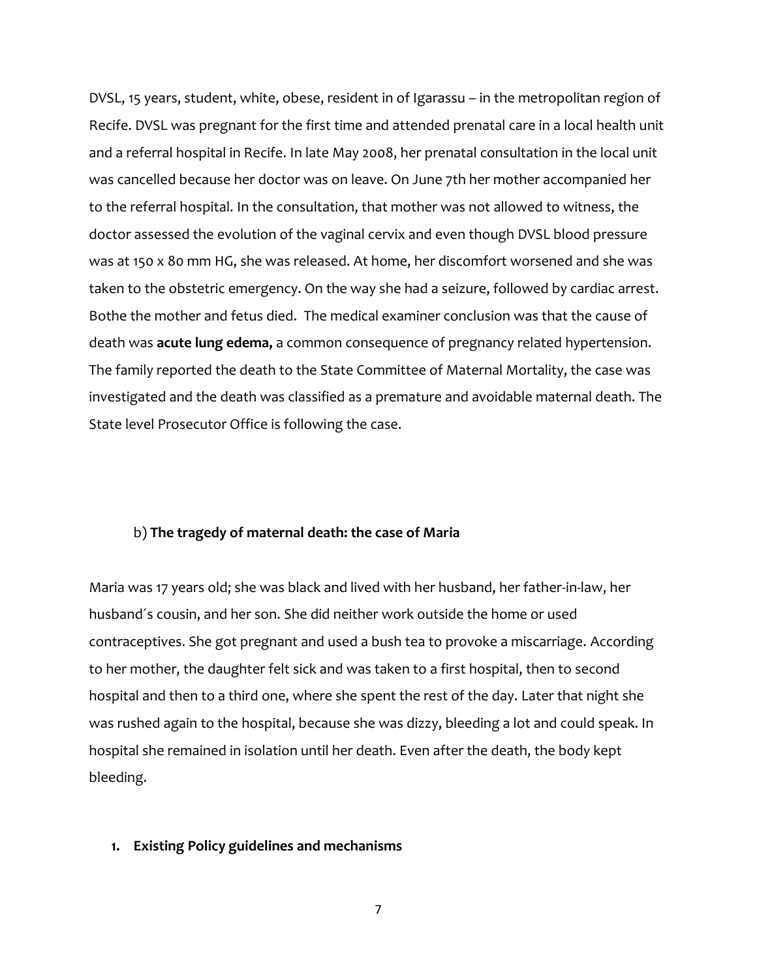DVSL, 15 years, student, white, obese, resident in of Igarassu – in the metropolitan region of Recife. DVSL was pregnant for the first time and attended prenatal care in a local health unit and a referral hospital in Recife. In late May 2008, her prenatal consultation in the local unit was cancelled because her doctor was on leave. On June 7th her mother accompanied her to the referral hospital. In the consultation, that mother was not allowed to witness, the doctor assessed the evolution of the vaginal cervix and even though DVSL blood pressure was at 150 x 80 mm HG, she was released. At home, her discomfort worsened and she was taken to the obstetric emergency. On the way she had a seizure, followed by cardiac arrest. Bothe the mother and fetus died. The medical examiner conclusion was that the cause of death was **acute lung edema,** a common consequence of pregnancy related hypertension. The family reported the death to the State Committee of Maternal Mortality, the case was investigated and the death was classified as a premature and avoidable maternal death. The State level Prosecutor Office is following the case.

#### b) **The tragedy of maternal death: the case of Maria**

Maria was 17 years old; she was black and lived with her husband, her father-in-law, her husband´s cousin, and her son. She did neither work outside the home or used contraceptives. She got pregnant and used a bush tea to provoke a miscarriage. According to her mother, the daughter felt sick and was taken to a first hospital, then to second hospital and then to a third one, where she spent the rest of the day. Later that night she was rushed again to the hospital, because she was dizzy, bleeding a lot and could speak. In hospital she remained in isolation until her death. Even after the death, the body kept bleeding.

#### **1. Existing Policy guidelines and mechanisms**

7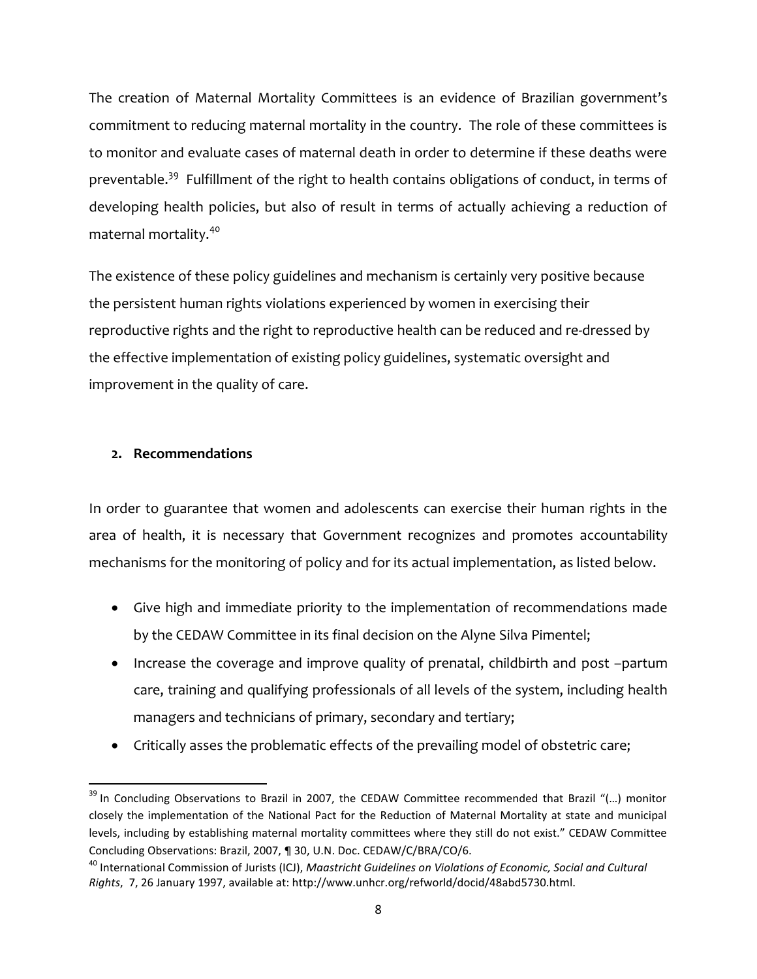The creation of Maternal Mortality Committees is an evidence of Brazilian government's commitment to reducing maternal mortality in the country. The role of these committees is to monitor and evaluate cases of maternal death in order to determine if these deaths were preventable.<sup>39</sup> Fulfillment of the right to health contains obligations of conduct, in terms of developing health policies, but also of result in terms of actually achieving a reduction of maternal mortality.<sup>40</sup>

The existence of these policy guidelines and mechanism is certainly very positive because the persistent human rights violations experienced by women in exercising their reproductive rights and the right to reproductive health can be reduced and re-dressed by the effective implementation of existing policy guidelines, systematic oversight and improvement in the quality of care.

# **2. Recommendations**

 $\overline{\phantom{a}}$ 

In order to guarantee that women and adolescents can exercise their human rights in the area of health, it is necessary that Government recognizes and promotes accountability mechanisms for the monitoring of policy and for its actual implementation, as listed below.

- Give high and immediate priority to the implementation of recommendations made by the CEDAW Committee in its final decision on the Alyne Silva Pimentel;
- Increase the coverage and improve quality of prenatal, childbirth and post -partum care, training and qualifying professionals of all levels of the system, including health managers and technicians of primary, secondary and tertiary;
- Critically asses the problematic effects of the prevailing model of obstetric care;

 $39$  In Concluding Observations to Brazil in 2007, the CEDAW Committee recommended that Brazil "(...) monitor closely the implementation of the National Pact for the Reduction of Maternal Mortality at state and municipal levels, including by establishing maternal mortality committees where they still do not exist." CEDAW Committee Concluding Observations: Brazil, 2007, ¶ 30, U.N. Doc. CEDAW/C/BRA/CO/6.

<sup>40</sup> International Commission of Jurists (ICJ), *Maastricht Guidelines on Violations of Economic, Social and Cultural Rights*, 7, 26 January 1997, available at: http://www.unhcr.org/refworld/docid/48abd5730.html.